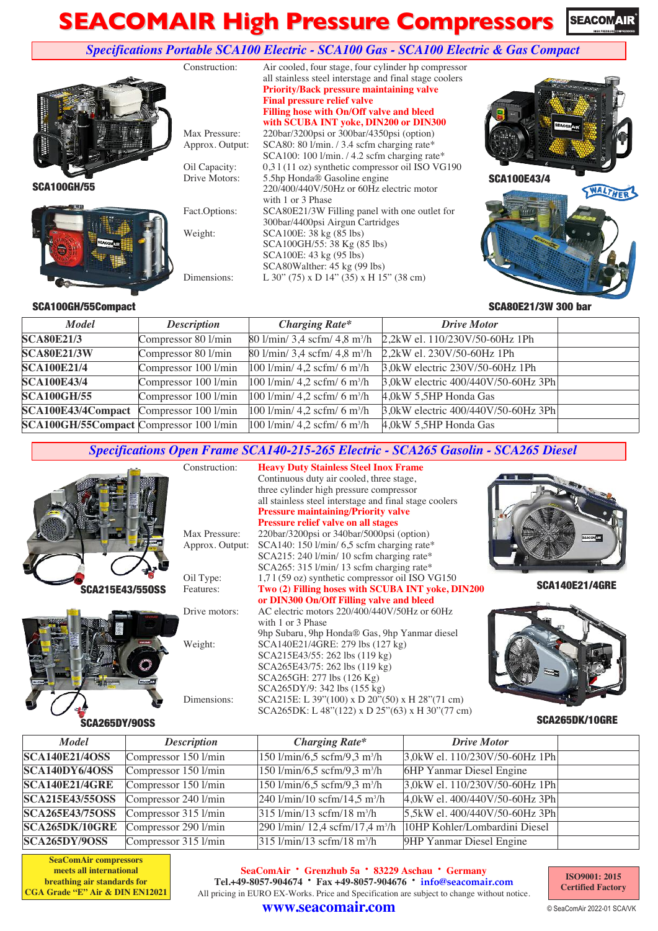#### **SEACOMAIR High Pressure Compressors SEACOMAIR**

#### *Specifications Portable SCA100 Electric - SCA100 Gas - SCA100 Electric & Gas Compact*



#### SCA80E21/3W 300 bar

#### SCA100GH/55Compact

| <b>Model</b>                            | <b>Description</b>   | <b>Charging Rate*</b>                                            | <b>Drive Motor</b>                                                       |  |
|-----------------------------------------|----------------------|------------------------------------------------------------------|--------------------------------------------------------------------------|--|
|                                         |                      |                                                                  |                                                                          |  |
| <b>SCA80E21/3</b>                       | Compressor 80 l/min  |                                                                  | 80 1/min/ 3,4 scfm/ 4,8 m <sup>3</sup> /h 2,2kW el. 110/230V/50-60Hz 1Ph |  |
| <b>SCA80E21/3W</b>                      | Compressor 80 l/min  | $80 \frac{\text{1}}{\text{min}}$ 3,4 scfm/ 4,8 m <sup>3</sup> /h | 2,2kW el. 230V/50-60Hz 1Ph                                               |  |
| <b>SCA100E21/4</b>                      | Compressor 100 l/min | $100$ l/min/ 4,2 scfm/ 6 m <sup>3</sup> /h                       | 3,0 kW electric 230 V/50-60 Hz 1Ph                                       |  |
| <b>SCA100E43/4</b>                      | Compressor 100 l/min | $100$ l/min/ 4,2 scfm/ 6 m <sup>3</sup> /h                       | 3,0kW electric 400/440V/50-60Hz 3Ph                                      |  |
| <b>SCA100GH/55</b>                      | Compressor 100 l/min | $100$ l/min/ 4,2 scfm/ 6 m <sup>3</sup> /h                       | 4,0kW 5,5HP Honda Gas                                                    |  |
| SCA100E43/4Compact Compressor 100 1/min |                      | $100$ l/min/ 4,2 scfm/ 6 m <sup>3</sup> /h                       | 3,0kW electric 400/440V/50-60Hz 3Ph                                      |  |
| SCA100GH/55Compact Compressor 100 1/min |                      | $100$ l/min/ 4,2 scfm/ 6 m <sup>3</sup> /h                       | 4,0kW 5,5HP Honda Gas                                                    |  |

#### *Specifications Open Frame SCA140-215-265 Electric - SCA265 Gasolin - SCA265 Diesel*



SCA265DK/10GRE

#### *Model Description Charging Rate\* Drive Motor* **SCA140E21/4OSS** Compressor 150 l/min  $150 \text{ l/min}$  150 l/min/6,5 scfm/9,3 m<sup>3</sup>/h 3,0kW el. 110/230V/50-60Hz 1Ph **SCA140DY6/4OSS** Compressor 150 l/min  $150 \text{ l/min/6.5 } \text{scfm/9.3 m}^3/\text{h}$ 6HP Yanmar Diesel Engine **SCA140E21/4GRE** Compressor 150 l/min 150 l/min/6,5 scfm/9,3 m<sup>3</sup>/h 3,0kW el. 110/230V/50-60Hz 1Ph **SCA215E43/55OSS** Compressor 240 l/min 240 l/min/10 scfm/14,5 m<sup>3</sup>/h 4,0kW el. 400/440V/50-60Hz 3Ph **SCA265E43/75OSS** Compressor 315 l/min  $315 \text{ l/min}/13 \text{ scfm}/18 \text{ m}^3/\text{h}$ 5,5kW el. 400/440V/50-60Hz 3Ph **SCA265DK/10GRE** Compressor 290 l/min 290 l/min/ 12,4 scfm/17,4 m<sup>3</sup>/h 10HP Kohler/Lombardini Diesel **SCA265DY/9OSS** Compressor 315  $l/min$  315  $l/min/13$  scfm/18 m<sup>3</sup>/h 9HP Yanmar Diesel Engine

**www.seacomair.com**

**SeaComAir compressors meets all international breathing air standards for CGA Grade "E" Air & DIN EN12021**

**SeaComAir · Grenzhub 5a · <sup>83229</sup> Aschau · Germany Tel.+49-8057-904674 · Fax +49-8057-904676 · info@seacomair.com** All pricing in EURO EX-Works. Price and Specification are subject to change without notice.

**ISO9001: 2015 Certified Factory**

© SeaComAir 2022-01 SCA/VK



SCA265DK: L 48"(122) x D 25"(63) x H 30"(77 cm)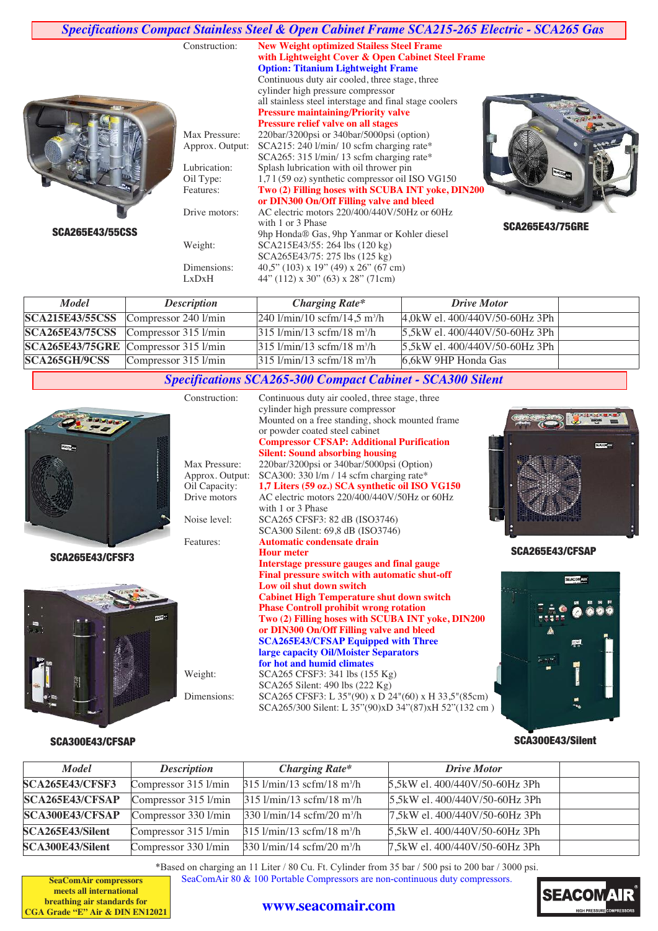|                        | Construction:                    | Specifications Compact Stainless Steel & Open Cabinet Frame SCA215-265 Electric - SCA265 Gas<br><b>New Weight optimized Stailess Steel Frame</b><br>with Lightweight Cover & Open Cabinet Steel Frame<br><b>Option: Titanium Lightweight Frame</b><br>Continuous duty air cooled, three stage, three |                        |
|------------------------|----------------------------------|------------------------------------------------------------------------------------------------------------------------------------------------------------------------------------------------------------------------------------------------------------------------------------------------------|------------------------|
|                        |                                  | cylinder high pressure compressor<br>all stainless steel interstage and final stage coolers<br><b>Pressure maintaining/Priority valve</b><br><b>Pressure relief valve on all stages</b>                                                                                                              |                        |
|                        | Max Pressure:<br>Approx. Output: | 220bar/3200psi or 340bar/5000psi (option)<br>SCA215: 240 l/min/ 10 scfm charging rate*<br>SCA265: 315 l/min/ 13 scfm charging rate*                                                                                                                                                                  |                        |
|                        | Lubrication:<br>Oil Type:        | Splash lubrication with oil thrower pin<br>1,7 l (59 oz) synthetic compressor oil ISO VG150                                                                                                                                                                                                          |                        |
|                        | Features:<br>Drive motors:       | Two (2) Filling hoses with SCUBA INT yoke, DIN200<br>or DIN300 On/Off Filling valve and bleed<br>AC electric motors 220/400/440V/50Hz or 60Hz                                                                                                                                                        |                        |
| <b>SCA265E43/55CSS</b> |                                  | with 1 or 3 Phase<br>9hp Honda® Gas, 9hp Yanmar or Kohler diesel                                                                                                                                                                                                                                     | <b>SCA265E43/75GRE</b> |
|                        | Weight:                          | SCA215E43/55: 264 lbs (120 kg)<br>SCA265E43/75: 275 lbs (125 kg)                                                                                                                                                                                                                                     |                        |
|                        | Dimensions:<br>LxDxH             | $40.5$ " (103) x 19" (49) x 26" (67 cm)<br>44" $(112)$ x 30" $(63)$ x 28" $(71cm)$                                                                                                                                                                                                                   |                        |

| <b>Model</b>  | <b>Description</b>                           | <b>Charging Rate*</b>                                                         | <b>Drive Motor</b>                    |  |
|---------------|----------------------------------------------|-------------------------------------------------------------------------------|---------------------------------------|--|
|               | SCA215E43/55CSS Compressor 240 1/min         | $ 240 \frac{\text{l}}{\text{min}}/10 \text{ scfm}/14.5 \text{ m}^3/\text{h} $ | $ 4.0$ kW el. $400/440$ V/50-60Hz 3Ph |  |
|               | $SCA265E43/75CSS$ Compressor 315 1/min       | $315$ l/min/13 scfm/18 m <sup>3</sup> /h                                      | $5,5kW$ el. 400/440V/50-60Hz 3Ph      |  |
|               | $SCA265E43/75GRE$ Compressor 315 1/min       | $315$ l/min/13 scfm/18 m <sup>3</sup> /h                                      | $5,5kW$ el. 400/440V/50-60Hz 3Ph      |  |
| SCA265GH/9CSS | Compressor $315 \frac{\text{l}}{\text{min}}$ | $ 315 \frac{\text{l}}{\text{min}}/13 \text{ scfm}/18 \text{ m}^3/\text{h} $   | 6.6kW 9HP Honda Gas                   |  |

# *Specifications SCA265-300 Compact Cabinet - SCA300 Silent*

Construction: Continuous duty air cooled, three stage, three

SCA265E43/CFSF3



#### SCA300E43/CFSAP

|                 | cylinder high pressure compressor                                                                       |
|-----------------|---------------------------------------------------------------------------------------------------------|
|                 | Mounted on a free standing, shock mounted frame                                                         |
|                 | or powder coated steel cabinet                                                                          |
|                 | <b>Compressor CFSAP: Additional Purification</b>                                                        |
|                 | <b>Silent: Sound absorbing housing</b>                                                                  |
| Max Pressure:   | 220bar/3200psi or 340bar/5000psi (Option)                                                               |
| Approx. Output: | SCA300: 330 l/m / 14 scfm charging rate*                                                                |
| Oil Capacity:   | 1,7 Liters (59 oz.) SCA synthetic oil ISO VG150                                                         |
| Drive motors    | AC electric motors 220/400/440V/50Hz or 60Hz                                                            |
|                 | with 1 or 3 Phase                                                                                       |
| Noise level:    | SCA265 CFSF3: 82 dB (ISO3746)                                                                           |
|                 | SCA300 Silent: 69,8 dB (ISO3746)                                                                        |
| Features:       | Automatic condensate drain                                                                              |
|                 | <b>Hour meter</b>                                                                                       |
|                 | Interstage pressure gauges and final gauge                                                              |
|                 | Final pressure switch with automatic shut-off                                                           |
|                 | Low oil shut down switch                                                                                |
|                 | <b>Cabinet High Temperature shut down switch</b>                                                        |
|                 | <b>Phase Controll prohibit wrong rotation</b>                                                           |
|                 | Two (2) Filling hoses with SCUBA INT yoke, DIN200                                                       |
|                 | or DIN300 On/Off Filling valve and bleed                                                                |
|                 | <b>SCA265E43/CFSAP Equipped with Three</b>                                                              |
|                 | large capacity Oil/Moister Separators                                                                   |
|                 | for hot and humid climates                                                                              |
| Weight:         | SCA265 CFSF3: 341 lbs (155 Kg)                                                                          |
|                 | SCA265 Silent: 490 lbs (222 Kg)                                                                         |
| Dimensional     | $P(A)$ $\leq$ $CFCF2.1$ $25\frac{100}{100}$ $\leq$ $D.24\frac{10}{100}$ $\leq$ $11.225\frac{1005}{100}$ |

Dimensions: SCA265 CFSF3: L 35"(90) x D 24"(60) x H 33,5"(85cm) SCA265/300 Silent: L 35"(90)xD 34"(87)xH 52"(132 cm )



SCA265E43/CFSAP



SCA300E43/Silent

| <b>Model</b>           | <b>Description</b>   | <b>Charging Rate*</b>                                                       | <b>Drive Motor</b>                |  |
|------------------------|----------------------|-----------------------------------------------------------------------------|-----------------------------------|--|
| <b>SCA265E43/CFSF3</b> | Compressor 315 l/min | $315$ l/min/13 scfm/18 m <sup>3</sup> /h                                    | 5,5kW el. 400/440V/50-60Hz 3Ph    |  |
| <b>SCA265E43/CFSAP</b> | Compressor 315 l/min | $315$ l/min/13 scfm/18 m <sup>3</sup> /h                                    | 5,5 kW el. 400/440 V/50-60 Hz 3Ph |  |
| <b>SCA300E43/CFSAP</b> | Compressor 330 l/min | $ 330 \frac{\text{1}}{\text{min}}/14 \text{ scfm}/20 \text{ m}^3/\text{h} $ | 7,5kW el. 400/440V/50-60Hz 3Ph    |  |
| SCA265E43/Silent       | Compressor 315 l/min | $315$ l/min/13 scfm/18 m <sup>3</sup> /h                                    | 5,5kW el. 400/440V/50-60Hz 3Ph    |  |
| SCA300E43/Silent       | Compressor 330 l/min | $330 \frac{\text{1}}{\text{min}}$ /14 scfm/20 m <sup>3</sup> /h             | 7,5kW el. 400/440V/50-60Hz 3Ph    |  |

\*Based on charging an 11 Liter / 80 Cu. Ft. Cylinder from 35 bar / 500 psi to 200 bar / 3000 psi. SeaComAir 80 & 100 Portable Compressors are non-continuous duty compressors.

**SeaComAir compressors meets all international breathing air standards for CGA Grade "E" Air & DIN EN12021**

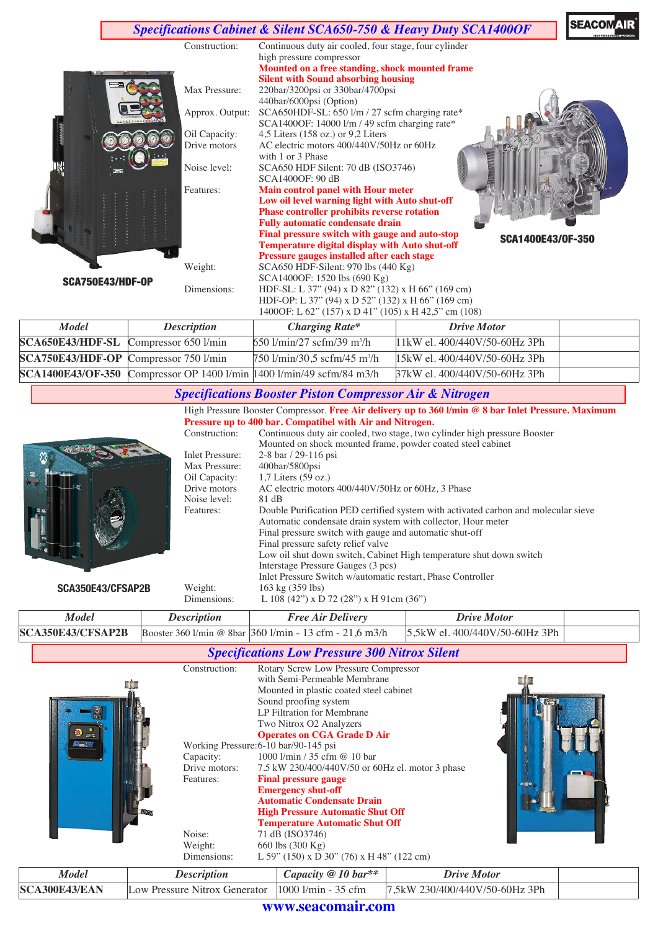

| Model                                        | <i>Description</i> | <b>Charging Rate*</b>                                                        | <b>Drive Motor</b>                      |  |
|----------------------------------------------|--------------------|------------------------------------------------------------------------------|-----------------------------------------|--|
| $SCA650E43/HDF-SL$ Compressor 650 $1/m$ in   |                    | $650$ l/min/27 scfm/39 m <sup>3</sup> /h                                     | $11 \text{kW}$ el. 400/440V/50-60Hz 3Ph |  |
| <b>SCA750E43/HDF-OP</b> Compressor 750 l/min |                    | $750 \frac{\text{l}}{\text{min}}$ /30,5 scfm/45 m <sup>3</sup> /h            | $15kW$ el. 400/440V/50-60Hz 3Ph         |  |
|                                              |                    | <b>SCA1400E43/OF-350</b> Compressor OP 1400 1/min 1400 1/min/49 scfm/84 m3/h | B7kW el. 400/440V/50-60Hz 3Ph           |  |

#### *Specifications Booster Piston Compressor Air & Nitrogen*

High Pressure Booster Compressor. **Free Air delivery up to 360 l/min @ 8 bar Inlet Pressure. Maximum Pressure up to 400 bar. Compatibel with Air and Nitrogen.** Construction: Continuous duty air cooled, two stage, two cylinder high pressure Booster Mounted on shock mounted frame, powder coated steel cabinet Inlet Pressure: 2-8 bar / 29-116 psi<br>Max Pressure: 400bar/5800psi Max Pressure: 400bar/5800psi<br>Oil Capacity: 1,7 Liters (59 oz Oil Capacity: 1,7 Liters (59 oz.)<br>Drive motors AC electric motor AC electric motors  $400/440V/50Hz$  or 60Hz, 3 Phase 81 dB Noise level: Features: Double Purification PED certified system with activated carbon and molecular sieve Automatic condensate drain system with collector, Hour meter Final pressure switch with gauge and automatic shut-off Final pressure safety relief valve

**SCA350E43/CFSAP2B** *Model Description Free Air Delivery Drive Motor* Low oil shut down switch, Cabinet High temperature shut down switch Interstage Pressure Gauges (3 pcs) Inlet Pressure Switch w/automatic restart, Phase Controller Weight: 163 kg (359 lbs)<br>Dimensions: L 108 (42") x D L  $108 (42")$  x D 72 (28") x H 91cm (36")

|  | <b>SCA350E43/CFSAP2B</b> Booster 360 l/min @ 8bar 360 l/min - 13 cfm - 21.6 m3/h 5.5kW el. 400/440V/50-60Hz 3Ph |  |
|--|-----------------------------------------------------------------------------------------------------------------|--|
|  |                                                                                                                 |  |

*Specifications Low Pressure 300 Nitrox Silent*

|  | Construction:<br>Capacity:<br>Drive motors:<br>Features:<br>Noise:<br>Weight:<br>Dimensions: | Rotary Screw Low Pressure Compressor<br>with Semi-Permeable Membrane<br>Mounted in plastic coated steel cabinet<br>Sound proofing system<br>LP Filtration for Membrane<br>Two Nitrox O2 Analyzers<br><b>Operates on CGA Grade D Air</b><br>Working Pressure: 6-10 bar/90-145 psi<br>1000 l/min / 35 cfm @ 10 bar<br>7.5 kW 230/400/440V/50 or 60Hz el. motor 3 phase<br><b>Final pressure gauge</b><br><b>Emergency shut-off</b><br><b>Automatic Condensate Drain</b><br><b>High Pressure Automatic Shut Off</b><br><b>Temperature Automatic Shut Off</b><br>71 dB (ISO3746)<br>660 lbs (300 Kg)<br>L 59" (150) x D 30" (76) x H 48" (122 cm) | 和田県 |
|--|----------------------------------------------------------------------------------------------|-----------------------------------------------------------------------------------------------------------------------------------------------------------------------------------------------------------------------------------------------------------------------------------------------------------------------------------------------------------------------------------------------------------------------------------------------------------------------------------------------------------------------------------------------------------------------------------------------------------------------------------------------|-----|
|--|----------------------------------------------------------------------------------------------|-----------------------------------------------------------------------------------------------------------------------------------------------------------------------------------------------------------------------------------------------------------------------------------------------------------------------------------------------------------------------------------------------------------------------------------------------------------------------------------------------------------------------------------------------------------------------------------------------------------------------------------------------|-----|

| Model                | Description                   | Capacity $@10$ bar**           | Drive Motor                    |  |  |
|----------------------|-------------------------------|--------------------------------|--------------------------------|--|--|
| <b>SCA300E43/EAN</b> | Low Pressure Nitrox Generator | $1000$ $1/\text{min}$ - 35 cfm | 7,5kW 230/400/440V/50-60Hz 3Ph |  |  |
|                      |                               |                                |                                |  |  |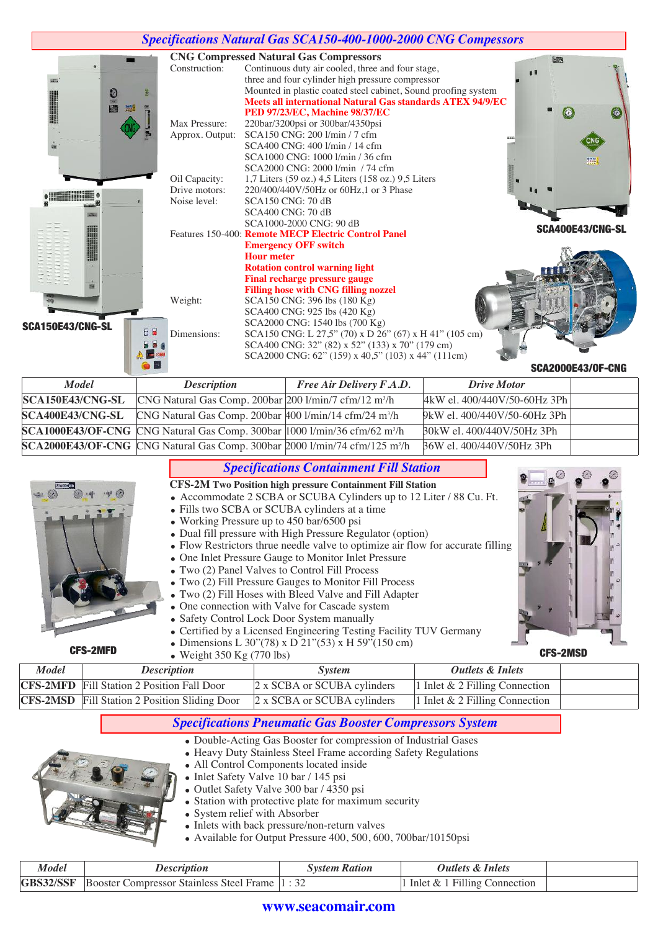|                  |                                                                                                                               |                   | <b>Specifications Natural Gas SCA150-400-1000-2000 CNG Compessors</b>                                                                                                                                                                                                                                                                                                                                                                                                                                                                                                                                                                                                                                                                                                                                                                                                                                                                                                                                                                                                                                                                                                                          |                              |                          |
|------------------|-------------------------------------------------------------------------------------------------------------------------------|-------------------|------------------------------------------------------------------------------------------------------------------------------------------------------------------------------------------------------------------------------------------------------------------------------------------------------------------------------------------------------------------------------------------------------------------------------------------------------------------------------------------------------------------------------------------------------------------------------------------------------------------------------------------------------------------------------------------------------------------------------------------------------------------------------------------------------------------------------------------------------------------------------------------------------------------------------------------------------------------------------------------------------------------------------------------------------------------------------------------------------------------------------------------------------------------------------------------------|------------------------------|--------------------------|
| SCA150E43/CNG-SL | Construction:<br>Max Pressure:<br>Approx. Output:<br>Oil Capacity:<br>Drive motors:<br>Noise level:<br>Weight:<br>Dimensions: | <b>Hour meter</b> | <b>CNG Compressed Natural Gas Compressors</b><br>Continuous duty air cooled, three and four stage,<br>three and four cylinder high pressure compressor<br>Mounted in plastic coated steel cabinet, Sound proofing system<br><b>Meets all international Natural Gas standards ATEX 94/9/EC</b><br>PED 97/23/EC, Machine 98/37/EC<br>220bar/3200psi or 300bar/4350psi<br>SCA150 CNG: 200 1/min / 7 cfm<br>SCA400 CNG: 400 1/min / 14 cfm<br>SCA1000 CNG: 1000 1/min / 36 cfm<br>SCA2000 CNG: 2000 1/min / 74 cfm<br>1,7 Liters (59 oz.) 4,5 Liters (158 oz.) 9,5 Liters<br>220/400/440V/50Hz or 60Hz,1 or 3 Phase<br><b>SCA150 CNG: 70 dB</b><br><b>SCA400 CNG: 70 dB</b><br>SCA1000-2000 CNG: 90 dB<br>Features 150-400: Remote MECP Electric Control Panel<br><b>Emergency OFF switch</b><br><b>Rotation control warning light</b><br><b>Final recharge pressure gauge</b><br><b>Filling hose with CNG filling nozzel</b><br>SCA150 CNG: 396 lbs (180 Kg)<br>SCA400 CNG: 925 lbs (420 Kg)<br>SCA2000 CNG: 1540 lbs (700 Kg)<br>SCA150 CNG: L 27,5" (70) x D 26" (67) x H 41" (105 cm)<br>SCA400 CNG: 32" (82) x 52" (133) x 70" (179 cm)<br>SCA2000 CNG: 62" (159) x 40,5" (103) x 44" (111cm) | 683                          | 無<br>SCA400E43/CNG-SL    |
|                  |                                                                                                                               |                   |                                                                                                                                                                                                                                                                                                                                                                                                                                                                                                                                                                                                                                                                                                                                                                                                                                                                                                                                                                                                                                                                                                                                                                                                |                              | <b>SCA2000E43/0F-CNG</b> |
| <b>Model</b>     | <b>Description</b>                                                                                                            |                   | Free Air Delivery F.A.D.                                                                                                                                                                                                                                                                                                                                                                                                                                                                                                                                                                                                                                                                                                                                                                                                                                                                                                                                                                                                                                                                                                                                                                       | <b>Drive Motor</b>           |                          |
| SCA150E43/CNG-SL |                                                                                                                               |                   | CNG Natural Gas Comp. 200bar 200 1/min/7 cfm/12 m <sup>3</sup> /h                                                                                                                                                                                                                                                                                                                                                                                                                                                                                                                                                                                                                                                                                                                                                                                                                                                                                                                                                                                                                                                                                                                              | 4kW el. 400/440V/50-60Hz 3Ph |                          |
| SCA400E43/CNG-SL |                                                                                                                               |                   | CNG Natural Gas Comp. 200bar 400 l/min/14 cfm/24 m <sup>3</sup> /h                                                                                                                                                                                                                                                                                                                                                                                                                                                                                                                                                                                                                                                                                                                                                                                                                                                                                                                                                                                                                                                                                                                             | 9kW el. 400/440V/50-60Hz 3Ph |                          |
|                  |                                                                                                                               |                   | $SCA1000E43/OF-CNG$ CNG Natural Gas Comp. 300bar 1000 1/min/36 cfm/62 m <sup>3</sup> /h                                                                                                                                                                                                                                                                                                                                                                                                                                                                                                                                                                                                                                                                                                                                                                                                                                                                                                                                                                                                                                                                                                        | 30kW el. 400/440V/50Hz 3Ph   |                          |

|       |                                                      | SCA2000E43/OF-CNG CNG Natural Gas Comp. 300bar 2000 1/min/74 cfm/125 m <sup>3</sup> /h                                                                                                                                                                                                                                                                                                                                                                                                                                                                                                                                                                                                                                                                                                                                                 | 36W el. 400/440V/50Hz 3Ph      |  |
|-------|------------------------------------------------------|----------------------------------------------------------------------------------------------------------------------------------------------------------------------------------------------------------------------------------------------------------------------------------------------------------------------------------------------------------------------------------------------------------------------------------------------------------------------------------------------------------------------------------------------------------------------------------------------------------------------------------------------------------------------------------------------------------------------------------------------------------------------------------------------------------------------------------------|--------------------------------|--|
|       |                                                      | <b>Specifications Containment Fill Station</b><br>CFS-2M Two Position high pressure Containment Fill Station<br>• Accommodate 2 SCBA or SCUBA Cylinders up to 12 Liter / 88 Cu. Ft.<br>• Fills two SCBA or SCUBA cylinders at a time<br>• Working Pressure up to 450 bar/6500 psi<br>• Dual fill pressure with High Pressure Regulator (option)<br>• Flow Restrictors thrue needle valve to optimize air flow for accurate filling<br>• One Inlet Pressure Gauge to Monitor Inlet Pressure<br>• Two (2) Panel Valves to Control Fill Process<br>• Two (2) Fill Pressure Gauges to Monitor Fill Process<br>• Two (2) Fill Hoses with Bleed Valve and Fill Adapter<br>• One connection with Valve for Cascade system<br>• Safety Control Lock Door System manually<br>• Certified by a Licensed Engineering Testing Facility TUV Germany |                                |  |
|       | <b>CFS-2MFD</b><br>$\bullet$ Weight 350 Kg (770 lbs) | • Dimensions L 30"(78) x D 21"(53) x H 59"(150 cm)                                                                                                                                                                                                                                                                                                                                                                                                                                                                                                                                                                                                                                                                                                                                                                                     | <b>CFS-2MSD</b>                |  |
| Model | <b>Description</b>                                   | <i>System</i>                                                                                                                                                                                                                                                                                                                                                                                                                                                                                                                                                                                                                                                                                                                                                                                                                          | <b>Outlets &amp; Inlets</b>    |  |
|       | <b>CFS-2MFD</b> Fill Station 2 Position Fall Door    | 2 x SCBA or SCUBA cylinders                                                                                                                                                                                                                                                                                                                                                                                                                                                                                                                                                                                                                                                                                                                                                                                                            | 1 Inlet & 2 Filling Connection |  |

| <b>CFS-2MSD</b> Fill Station 2 Position Sliding Door $2 \times SCBA$ or SCUBA cylinders  1 Inlet & 2 Filling Connection |  |
|-------------------------------------------------------------------------------------------------------------------------|--|
|                                                                                                                         |  |

# *Specifications Pneumatic Gas Booster Compressors System*

- <sup>=</sup> Double-Acting Gas Booster for compression of Industrial Gases
- Heavy Duty Stainless Steel Frame according Safety Regulations



- 
- <sup>=</sup> Inlet Safety Valve 10 bar / 145 psi
- <sup>=</sup> Outlet Safety Valve 300 bar / 4350 psi
- Station with protective plate for maximum security
- System relief with Absorber
	- <sup>=</sup> Inlets with back pressure/non-return valves
	- <sup>=</sup> Available for Output Pressure 400, 500, 600, 700bar/10150psi

| Model            | <i>Description</i>                                    | System Ration | Outlets & Inlets                 |  |
|------------------|-------------------------------------------------------|---------------|----------------------------------|--|
| <b>GBS32/SSF</b> | <b>Booster Compressor Stainless Steel Frame 11:32</b> |               | 1 Inlet $& 1$ Filling Connection |  |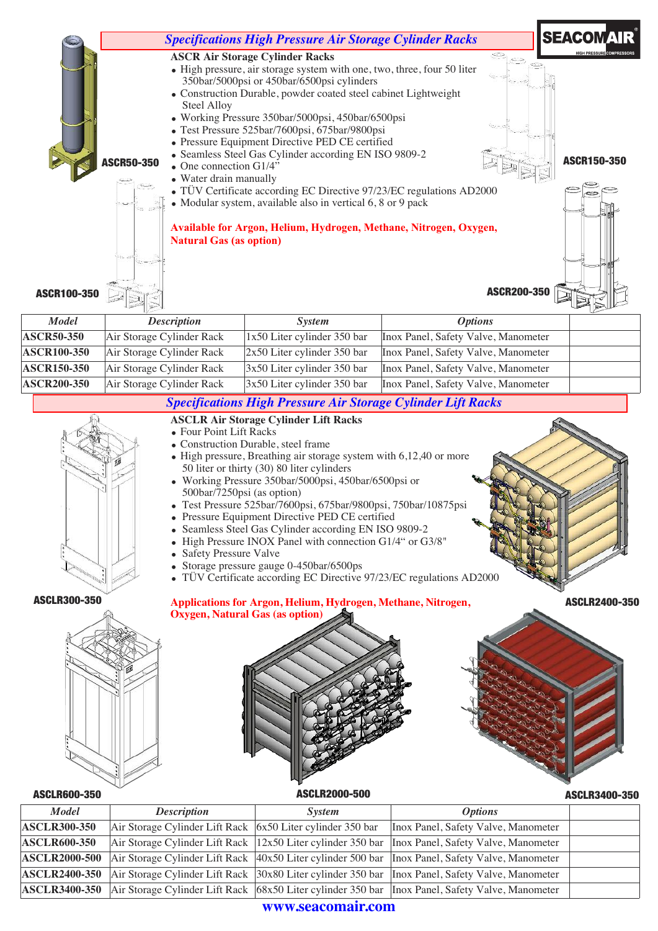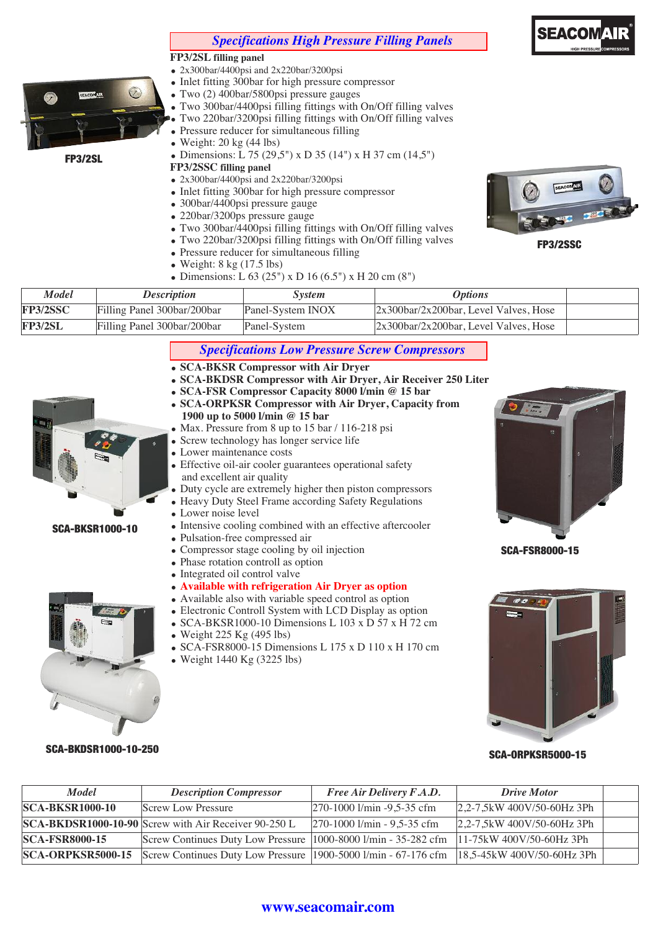# *Specifications High Pressure Filling Panels*

#### **FP3/2SL filling panel**



FP3/2SL

- <sup>=</sup> 2x300bar/4400psi and 2x220bar/3200psi • Inlet fitting 300bar for high pressure compressor
- <sup>=</sup> Two (2) 400bar/5800psi pressure gauges
- <sup>=</sup> Two 300bar/4400psi filling fittings with On/Off filling valves
	- <sup>=</sup> Two 220bar/3200psi filling fittings with On/Off filling valves
- Pressure reducer for simultaneous filling
- $\bullet$  Weight: 20 kg (44 lbs)
- Dimensions: L 75 (29.5") x D 35 (14") x H 37 cm (14.5")

#### **FP3/2SSC filling panel**

- <sup>=</sup> 2x300bar/4400psi and 2x220bar/3200psi
- Inlet fitting 300bar for high pressure compressor
- <sup>=</sup> 300bar/4400psi pressure gauge
- 220bar/3200ps pressure gauge
- <sup>=</sup> Two 300bar/4400psi filling fittings with On/Off filling valves
- <sup>=</sup> Two 220bar/3200psi filling fittings with On/Off filling valves
- Pressure reducer for simultaneous filling
- $\bullet$  Weight: 8 kg (17.5 lbs)
- Dimensions: L 63 (25") x D 16 (6.5") x H 20 cm (8")



FP3/2SSC

| <b>Model</b>   | <b>Description</b>          | Svstem            | <i><b>Options</b></i>                                   |  |
|----------------|-----------------------------|-------------------|---------------------------------------------------------|--|
| FP3/2SSC       | Filling Panel 300bar/200bar | Panel-System INOX | $ 2x300\text{bar}/2x200\text{bar}$ , Level Valves, Hose |  |
| <b>FP3/2SL</b> | Filling Panel 300bar/200bar | Panel-System      | $ 2x300\text{bar}/2x200\text{bar}$ . Level Valves, Hose |  |

# *Specifications Low Pressure Screw Compressors*

- <sup>=</sup> **SCA-BKSR Compressor with Air Dryer**
- <sup>=</sup> **SCA-BKDSR Compressor with Air Dryer, Air Receiver 250 Liter**
- <sup>=</sup> **SCA-FSR Compressor Capacity 8000 l/min @ 15 bar**
- <sup>=</sup> **SCA-ORPKSR Compressor with Air Dryer, Capacity from 1900 up to 5000 l/min @ 15 bar**
- Max. Pressure from 8 up to 15 bar / 116-218 psi
- Screw technology has longer service life
- Lower maintenance costs
- Effective oil-air cooler guarantees operational safety and excellent air quality
- Duty cycle are extremely higher then piston compressors
- Heavy Duty Steel Frame according Safety Regulations
- Lower noise level
- Intensive cooling combined with an effective aftercooler
- <sup>=</sup> Pulsation-free compressed air
- <sup>=</sup> Compressor stage cooling by oil injection
- Phase rotation controll as option
- Integrated oil control valve
- <sup>=</sup> **Available with refrigeration Air Dryer as option**
- Available also with variable speed control as option
- Electronic Controll System with LCD Display as option
- SCA-BKSR1000-10 Dimensions L 103 x D 57 x H 72 cm
- Weight  $225$  Kg (495 lbs)
- <sup>=</sup> SCA-FSR8000-15 Dimensions L 175 x D 110 x H 170 cm Weight 1440 Kg (3225 lbs)



SCA-FSR8000-15



SCA-ORPKSR5000-15 SCA-BKDSR1000-10-250

SCA-BKSR1000-10

| <b>Model</b>             | <b>Description Compressor</b>                                    | Free Air Delivery F.A.D.                        | <b>Drive Motor</b>            |  |
|--------------------------|------------------------------------------------------------------|-------------------------------------------------|-------------------------------|--|
| <b>SCA-BKSR1000-10</b>   | <b>Screw Low Pressure</b>                                        | $ 270-1000 \text{ l/min} - 9,5-35 \text{ cfm} $ | $ 2,2-7,5kW$ 400V/50-60Hz 3Ph |  |
|                          | SCA-BKDSR1000-10-90 Screw with Air Receiver 90-250 L             | $ 270-1000 \text{ l/min} - 9,5-35 \text{ cfm} $ | $ 2,2-7,5kW$ 400V/50-60Hz 3Ph |  |
| <b>SCA-FSR8000-15</b>    | Screw Continues Duty Low Pressure   1000-8000 1/min - 35-282 cfm |                                                 | $11-75kW$ 400V/50-60Hz 3Ph    |  |
| <b>SCA-ORPKSR5000-15</b> | Screw Continues Duty Low Pressure 1900-5000 1/min - 67-176 cfm   |                                                 | $18,5-45kW$ 400V/50-60Hz 3Ph  |  |